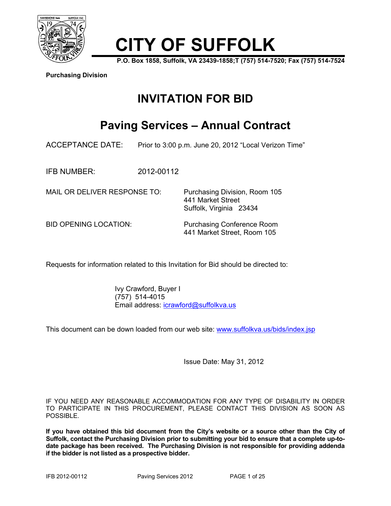

# **CITY OF SUFFOLK**

**P.O. Box 1858, Suffolk, VA 23439-1858;T (757) 514-7520; Fax (757) 514-7524** 

**Purchasing Division**

# **INVITATION FOR BID**

## **Paving Services – Annual Contract**

ACCEPTANCE DATE: Prior to 3:00 p.m. June 20, 2012 "Local Verizon Time"

IFB NUMBER: 2012-00112

MAIL OR DELIVER RESPONSE TO: Purchasing Division, Room 105

BID OPENING LOCATION: Purchasing Conference Room 441 Market Street, Room 105

 441 Market Street Suffolk, Virginia 23434

Requests for information related to this Invitation for Bid should be directed to:

 Ivy Crawford, Buyer I (757) 514-4015 Email address: icrawford@suffolkva.us

This document can be down loaded from our web site: www.suffolkva.us/bids/index.jsp

Issue Date: May 31, 2012

IF YOU NEED ANY REASONABLE ACCOMMODATION FOR ANY TYPE OF DISABILITY IN ORDER TO PARTICIPATE IN THIS PROCUREMENT, PLEASE CONTACT THIS DIVISION AS SOON AS POSSIBLE.

**If you have obtained this bid document from the City's website or a source other than the City of Suffolk, contact the Purchasing Division prior to submitting your bid to ensure that a complete up-todate package has been received. The Purchasing Division is not responsible for providing addenda if the bidder is not listed as a prospective bidder.**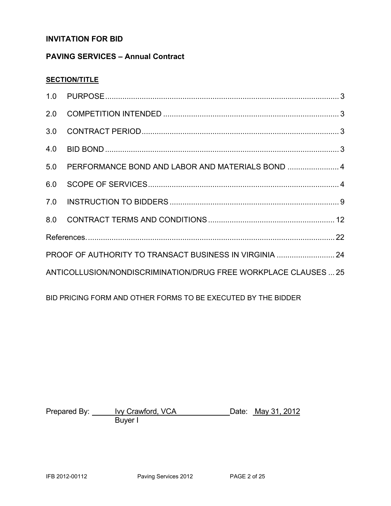#### **INVITATION FOR BID**

### **PAVING SERVICES – Annual Contract**

#### **SECTION/TITLE**

|                                                         | 5.0 PERFORMANCE BOND AND LABOR AND MATERIALS BOND  4            |  |  |
|---------------------------------------------------------|-----------------------------------------------------------------|--|--|
| 6.0                                                     |                                                                 |  |  |
|                                                         |                                                                 |  |  |
|                                                         |                                                                 |  |  |
|                                                         |                                                                 |  |  |
| PROOF OF AUTHORITY TO TRANSACT BUSINESS IN VIRGINIA  24 |                                                                 |  |  |
|                                                         | ANTICOLLUSION/NONDISCRIMINATION/DRUG FREE WORKPLACE CLAUSES  25 |  |  |

BID PRICING FORM AND OTHER FORMS TO BE EXECUTED BY THE BIDDER

Prepared By: <u>Ivy Crawford, VCA</u> Date: May 31, 2012 Buyer I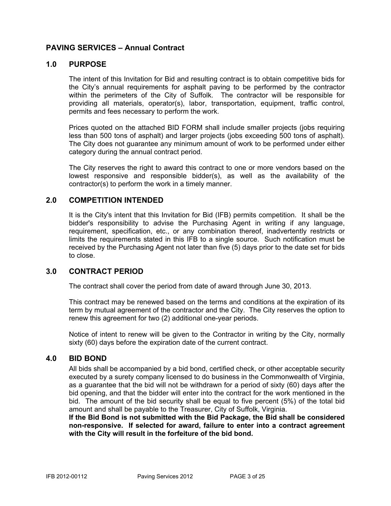#### **PAVING SERVICES – Annual Contract**

#### **1.0 PURPOSE**

The intent of this Invitation for Bid and resulting contract is to obtain competitive bids for the City's annual requirements for asphalt paving to be performed by the contractor within the perimeters of the City of Suffolk. The contractor will be responsible for providing all materials, operator(s), labor, transportation, equipment, traffic control, permits and fees necessary to perform the work.

Prices quoted on the attached BID FORM shall include smaller projects (jobs requiring less than 500 tons of asphalt) and larger projects (jobs exceeding 500 tons of asphalt). The City does not guarantee any minimum amount of work to be performed under either category during the annual contract period.

The City reserves the right to award this contract to one or more vendors based on the lowest responsive and responsible bidder(s), as well as the availability of the contractor(s) to perform the work in a timely manner.

#### **2.0 COMPETITION INTENDED**

It is the City's intent that this Invitation for Bid (IFB) permits competition. It shall be the bidder's responsibility to advise the Purchasing Agent in writing if any language, requirement, specification, etc., or any combination thereof, inadvertently restricts or limits the requirements stated in this IFB to a single source. Such notification must be received by the Purchasing Agent not later than five (5) days prior to the date set for bids to close.

#### **3.0 CONTRACT PERIOD**

The contract shall cover the period from date of award through June 30, 2013.

This contract may be renewed based on the terms and conditions at the expiration of its term by mutual agreement of the contractor and the City. The City reserves the option to renew this agreement for two (2) additional one-year periods.

Notice of intent to renew will be given to the Contractor in writing by the City, normally sixty (60) days before the expiration date of the current contract.

#### **4.0 BID BOND**

All bids shall be accompanied by a bid bond, certified check, or other acceptable security executed by a surety company licensed to do business in the Commonwealth of Virginia, as a guarantee that the bid will not be withdrawn for a period of sixty (60) days after the bid opening, and that the bidder will enter into the contract for the work mentioned in the bid. The amount of the bid security shall be equal to five percent (5%) of the total bid amount and shall be payable to the Treasurer, City of Suffolk, Virginia.

**If the Bid Bond is not submitted with the Bid Package, the Bid shall be considered non-responsive. If selected for award, failure to enter into a contract agreement with the City will result in the forfeiture of the bid bond.**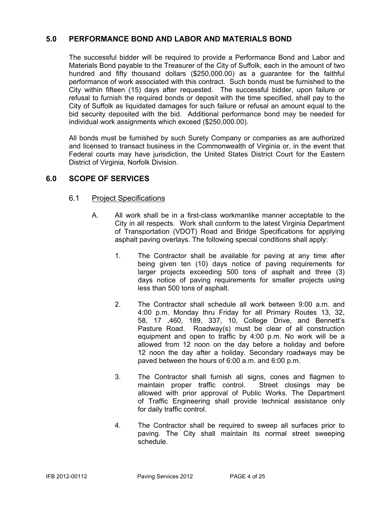#### **5.0 PERFORMANCE BOND AND LABOR AND MATERIALS BOND**

The successful bidder will be required to provide a Performance Bond and Labor and Materials Bond payable to the Treasurer of the City of Suffolk, each in the amount of two hundred and fifty thousand dollars (\$250,000.00) as a guarantee for the faithful performance of work associated with this contract. Such bonds must be furnished to the City within fifteen (15) days after requested. The successful bidder, upon failure or refusal to furnish the required bonds or deposit with the time specified, shall pay to the City of Suffolk as liquidated damages for such failure or refusal an amount equal to the bid security deposited with the bid. Additional performance bond may be needed for individual work assignments which exceed (\$250,000.00).

All bonds must be furnished by such Surety Company or companies as are authorized and licensed to transact business in the Commonwealth of Virginia or, in the event that Federal courts may have jurisdiction, the United States District Court for the Eastern District of Virginia, Norfolk Division.

#### **6.0 SCOPE OF SERVICES**

#### 6.1 Project Specifications

- A. All work shall be in a first-class workmanlike manner acceptable to the City in all respects. Work shall conform to the latest Virginia Department of Transportation (VDOT) Road and Bridge Specifications for applying asphalt paving overlays. The following special conditions shall apply:
	- 1. The Contractor shall be available for paving at any time after being given ten (10) days notice of paving requirements for larger projects exceeding 500 tons of asphalt and three (3) days notice of paving requirements for smaller projects using less than 500 tons of asphalt.
	- 2. The Contractor shall schedule all work between 9:00 a.m. and 4:00 p.m. Monday thru Friday for all Primary Routes 13, 32, 58, 17 ,460, 189, 337, 10, College Drive, and Bennett's Pasture Road. Roadway(s) must be clear of all construction equipment and open to traffic by 4:00 p.m. No work will be a allowed from 12 noon on the day before a holiday and before 12 noon the day after a holiday. Secondary roadways may be paved between the hours of 6:00 a.m. and 6:00 p.m.
	- 3. The Contractor shall furnish all signs, cones and flagmen to maintain proper traffic control. Street closings may be allowed with prior approval of Public Works. The Department of Traffic Engineering shall provide technical assistance only for daily traffic control.
	- 4. The Contractor shall be required to sweep all surfaces prior to paving. The City shall maintain its normal street sweeping schedule.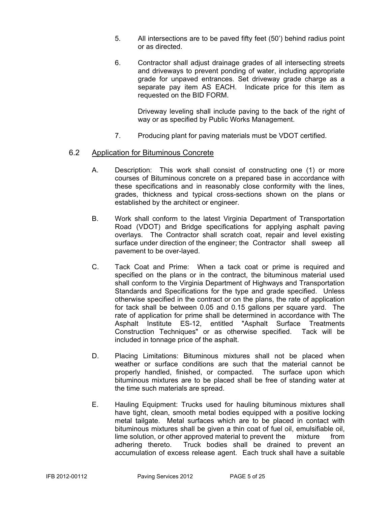- 5. All intersections are to be paved fifty feet (50') behind radius point or as directed.
- 6. Contractor shall adjust drainage grades of all intersecting streets and driveways to prevent ponding of water, including appropriate grade for unpaved entrances. Set driveway grade charge as a separate pay item AS EACH. Indicate price for this item as requested on the BID FORM.

 Driveway leveling shall include paving to the back of the right of way or as specified by Public Works Management.

7. Producing plant for paving materials must be VDOT certified.

#### 6.2 Application for Bituminous Concrete

- A. Description: This work shall consist of constructing one (1) or more courses of Bituminous concrete on a prepared base in accordance with these specifications and in reasonably close conformity with the lines, grades, thickness and typical cross-sections shown on the plans or established by the architect or engineer.
- B. Work shall conform to the latest Virginia Department of Transportation Road (VDOT) and Bridge specifications for applying asphalt paving overlays. The Contractor shall scratch coat, repair and level existing surface under direction of the engineer; the Contractor shall sweep all pavement to be over-layed.
- C. Tack Coat and Prime: When a tack coat or prime is required and specified on the plans or in the contract, the bituminous material used shall conform to the Virginia Department of Highways and Transportation Standards and Specifications for the type and grade specified. Unless otherwise specified in the contract or on the plans, the rate of application for tack shall be between 0.05 and 0.15 gallons per square yard. The rate of application for prime shall be determined in accordance with The Asphalt Institute ES-12, entitled "Asphalt Surface Treatments Construction Techniques" or as otherwise specified. Tack will be included in tonnage price of the asphalt.
- D. Placing Limitations: Bituminous mixtures shall not be placed when weather or surface conditions are such that the material cannot be properly handled, finished, or compacted. The surface upon which bituminous mixtures are to be placed shall be free of standing water at the time such materials are spread.
- E. Hauling Equipment: Trucks used for hauling bituminous mixtures shall have tight, clean, smooth metal bodies equipped with a positive locking metal tailgate. Metal surfaces which are to be placed in contact with bituminous mixtures shall be given a thin coat of fuel oil, emulsifiable oil, lime solution, or other approved material to prevent the mixture from adhering thereto. Truck bodies shall be drained to prevent an accumulation of excess release agent. Each truck shall have a suitable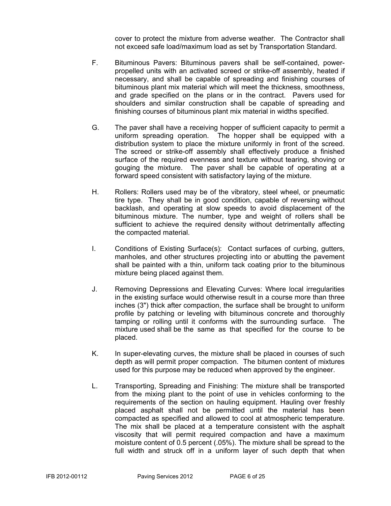cover to protect the mixture from adverse weather. The Contractor shall not exceed safe load/maximum load as set by Transportation Standard.

- F. Bituminous Pavers: Bituminous pavers shall be self-contained, powerpropelled units with an activated screed or strike-off assembly, heated if necessary, and shall be capable of spreading and finishing courses of bituminous plant mix material which will meet the thickness, smoothness, and grade specified on the plans or in the contract. Pavers used for shoulders and similar construction shall be capable of spreading and finishing courses of bituminous plant mix material in widths specified.
- G. The paver shall have a receiving hopper of sufficient capacity to permit a uniform spreading operation. The hopper shall be equipped with a distribution system to place the mixture uniformly in front of the screed. The screed or strike-off assembly shall effectively produce a finished surface of the required evenness and texture without tearing, shoving or gouging the mixture. The paver shall be capable of operating at a forward speed consistent with satisfactory laying of the mixture.
- H. Rollers: Rollers used may be of the vibratory, steel wheel, or pneumatic tire type. They shall be in good condition, capable of reversing without backlash, and operating at slow speeds to avoid displacement of the bituminous mixture. The number, type and weight of rollers shall be sufficient to achieve the required density without detrimentally affecting the compacted material.
- I. Conditions of Existing Surface(s): Contact surfaces of curbing, gutters, manholes, and other structures projecting into or abutting the pavement shall be painted with a thin, uniform tack coating prior to the bituminous mixture being placed against them.
- J. Removing Depressions and Elevating Curves: Where local irregularities in the existing surface would otherwise result in a course more than three inches (3") thick after compaction, the surface shall be brought to uniform profile by patching or leveling with bituminous concrete and thoroughly tamping or rolling until it conforms with the surrounding surface. The mixture used shall be the same as that specified for the course to be placed.
- K. In super-elevating curves, the mixture shall be placed in courses of such depth as will permit proper compaction. The bitumen content of mixtures used for this purpose may be reduced when approved by the engineer.
- L. Transporting, Spreading and Finishing: The mixture shall be transported from the mixing plant to the point of use in vehicles conforming to the requirements of the section on hauling equipment. Hauling over freshly placed asphalt shall not be permitted until the material has been compacted as specified and allowed to cool at atmospheric temperature. The mix shall be placed at a temperature consistent with the asphalt viscosity that will permit required compaction and have a maximum moisture content of 0.5 percent (.05%). The mixture shall be spread to the full width and struck off in a uniform layer of such depth that when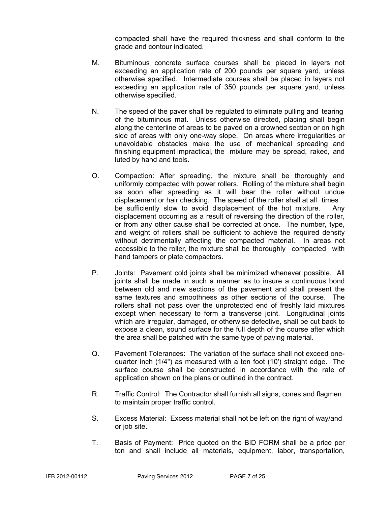compacted shall have the required thickness and shall conform to the grade and contour indicated.

- M. Bituminous concrete surface courses shall be placed in layers not exceeding an application rate of 200 pounds per square yard, unless otherwise specified. Intermediate courses shall be placed in layers not exceeding an application rate of 350 pounds per square yard, unless otherwise specified.
- N. The speed of the paver shall be regulated to eliminate pulling and tearing of the bituminous mat. Unless otherwise directed, placing shall begin along the centerline of areas to be paved on a crowned section or on high side of areas with only one-way slope. On areas where irregularities or unavoidable obstacles make the use of mechanical spreading and finishing equipment impractical, the mixture may be spread, raked, and luted by hand and tools.
- O. Compaction: After spreading, the mixture shall be thoroughly and uniformly compacted with power rollers. Rolling of the mixture shall begin as soon after spreading as it will bear the roller without undue displacement or hair checking. The speed of the roller shall at all times be sufficiently slow to avoid displacement of the hot mixture. Any displacement occurring as a result of reversing the direction of the roller, or from any other cause shall be corrected at once. The number, type, and weight of rollers shall be sufficient to achieve the required density without detrimentally affecting the compacted material. In areas not accessible to the roller, the mixture shall be thoroughly compacted with hand tampers or plate compactors.
- P. Joints: Pavement cold joints shall be minimized whenever possible. All joints shall be made in such a manner as to insure a continuous bond between old and new sections of the pavement and shall present the same textures and smoothness as other sections of the course. The rollers shall not pass over the unprotected end of freshly laid mixtures except when necessary to form a transverse joint. Longitudinal joints which are irregular, damaged, or otherwise defective, shall be cut back to expose a clean, sound surface for the full depth of the course after which the area shall be patched with the same type of paving material.
- Q. Pavement Tolerances: The variation of the surface shall not exceed onequarter inch (1/4") as measured with a ten foot (10') straight edge. The surface course shall be constructed in accordance with the rate of application shown on the plans or outlined in the contract.
- R. Traffic Control: The Contractor shall furnish all signs, cones and flagmen to maintain proper traffic control.
- S. Excess Material: Excess material shall not be left on the right of way/and or job site.
- T. Basis of Payment: Price quoted on the BID FORM shall be a price per ton and shall include all materials, equipment, labor, transportation,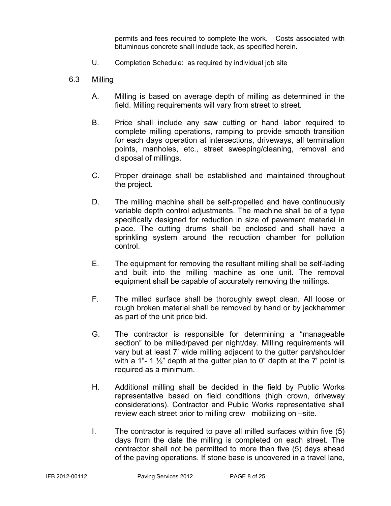permits and fees required to complete the work. Costs associated with bituminous concrete shall include tack, as specified herein.

- U. Completion Schedule: as required by individual job site
- 6.3 Milling
	- A. Milling is based on average depth of milling as determined in the field. Milling requirements will vary from street to street.
	- B. Price shall include any saw cutting or hand labor required to complete milling operations, ramping to provide smooth transition for each days operation at intersections, driveways, all termination points, manholes, etc., street sweeping/cleaning, removal and disposal of millings.
	- C. Proper drainage shall be established and maintained throughout the project.
	- D. The milling machine shall be self-propelled and have continuously variable depth control adjustments. The machine shall be of a type specifically designed for reduction in size of pavement material in place. The cutting drums shall be enclosed and shall have a sprinkling system around the reduction chamber for pollution control.
	- E. The equipment for removing the resultant milling shall be self-lading and built into the milling machine as one unit. The removal equipment shall be capable of accurately removing the millings.
	- F. The milled surface shall be thoroughly swept clean. All loose or rough broken material shall be removed by hand or by jackhammer as part of the unit price bid.
	- G. The contractor is responsible for determining a "manageable section" to be milled/paved per night/day. Milling requirements will vary but at least 7' wide milling adjacent to the gutter pan/shoulder with a 1"- 1  $\frac{1}{2}$ " depth at the gutter plan to 0" depth at the 7' point is required as a minimum.
	- H. Additional milling shall be decided in the field by Public Works representative based on field conditions (high crown, driveway considerations). Contractor and Public Works representative shall review each street prior to milling crew mobilizing on –site.
	- I. The contractor is required to pave all milled surfaces within five (5) days from the date the milling is completed on each street. The contractor shall not be permitted to more than five (5) days ahead of the paving operations. If stone base is uncovered in a travel lane,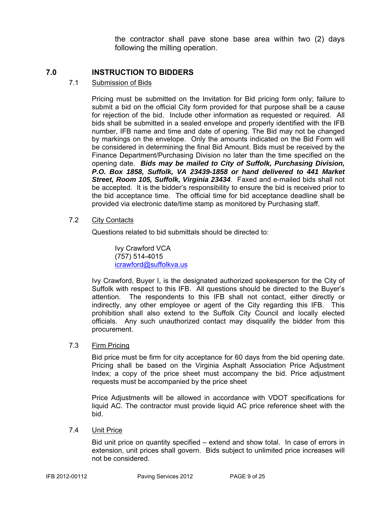the contractor shall pave stone base area within two (2) days following the milling operation.

### **7.0 INSTRUCTION TO BIDDERS**

#### 7.1 Submission of Bids

Pricing must be submitted on the Invitation for Bid pricing form only; failure to submit a bid on the official City form provided for that purpose shall be a cause for rejection of the bid. Include other information as requested or required. All bids shall be submitted in a sealed envelope and properly identified with the IFB number, IFB name and time and date of opening. The Bid may not be changed by markings on the envelope. Only the amounts indicated on the Bid Form will be considered in determining the final Bid Amount. Bids must be received by the Finance Department/Purchasing Division no later than the time specified on the opening date. *Bids may be mailed to City of Suffolk, Purchasing Division, P.O. Box 1858, Suffolk, VA 23439-1858 or hand delivered to 441 Market Street, Room 105, Suffolk, Virginia 23434*. Faxed and e-mailed bids shall not be accepted. It is the bidder's responsibility to ensure the bid is received prior to the bid acceptance time. The official time for bid acceptance deadline shall be provided via electronic date/time stamp as monitored by Purchasing staff.

#### 7.2 City Contacts

Questions related to bid submittals should be directed to:

 Ivy Crawford VCA (757) 514-4015 icrawford@suffolkva.us

Ivy Crawford, Buyer I, is the designated authorized spokesperson for the City of Suffolk with respect to this IFB. All questions should be directed to the Buyer's attention. The respondents to this IFB shall not contact, either directly or indirectly, any other employee or agent of the City regarding this IFB. This prohibition shall also extend to the Suffolk City Council and locally elected officials. Any such unauthorized contact may disqualify the bidder from this procurement.

#### 7.3 Firm Pricing

Bid price must be firm for city acceptance for 60 days from the bid opening date. Pricing shall be based on the Virginia Asphalt Association Price Adjustment Index; a copy of the price sheet must accompany the bid. Price adjustment requests must be accompanied by the price sheet

Price Adjustments will be allowed in accordance with VDOT specifications for liquid AC. The contractor must provide liquid AC price reference sheet with the bid.

#### 7.4 Unit Price

Bid unit price on quantity specified – extend and show total. In case of errors in extension, unit prices shall govern. Bids subject to unlimited price increases will not be considered.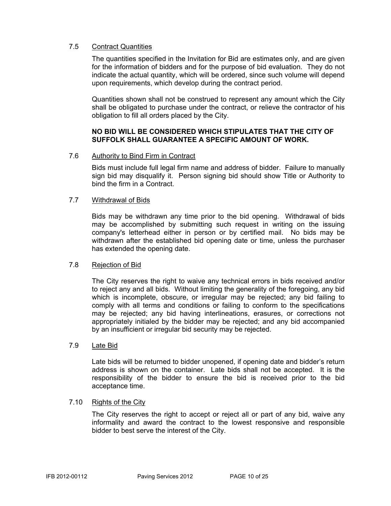#### 7.5 Contract Quantities

The quantities specified in the Invitation for Bid are estimates only, and are given for the information of bidders and for the purpose of bid evaluation. They do not indicate the actual quantity, which will be ordered, since such volume will depend upon requirements, which develop during the contract period.

Quantities shown shall not be construed to represent any amount which the City shall be obligated to purchase under the contract, or relieve the contractor of his obligation to fill all orders placed by the City.

#### **NO BID WILL BE CONSIDERED WHICH STIPULATES THAT THE CITY OF SUFFOLK SHALL GUARANTEE A SPECIFIC AMOUNT OF WORK.**

#### 7.6 Authority to Bind Firm in Contract

Bids must include full legal firm name and address of bidder. Failure to manually sign bid may disqualify it. Person signing bid should show Title or Authority to bind the firm in a Contract.

#### 7.7 Withdrawal of Bids

Bids may be withdrawn any time prior to the bid opening. Withdrawal of bids may be accomplished by submitting such request in writing on the issuing company's letterhead either in person or by certified mail. No bids may be withdrawn after the established bid opening date or time, unless the purchaser has extended the opening date.

#### 7.8 Rejection of Bid

The City reserves the right to waive any technical errors in bids received and/or to reject any and all bids. Without limiting the generality of the foregoing, any bid which is incomplete, obscure, or irregular may be rejected; any bid failing to comply with all terms and conditions or failing to conform to the specifications may be rejected; any bid having interlineations, erasures, or corrections not appropriately initialed by the bidder may be rejected; and any bid accompanied by an insufficient or irregular bid security may be rejected.

#### 7.9 Late Bid

Late bids will be returned to bidder unopened, if opening date and bidder's return address is shown on the container. Late bids shall not be accepted. It is the responsibility of the bidder to ensure the bid is received prior to the bid acceptance time.

#### 7.10 Rights of the City

The City reserves the right to accept or reject all or part of any bid, waive any informality and award the contract to the lowest responsive and responsible bidder to best serve the interest of the City.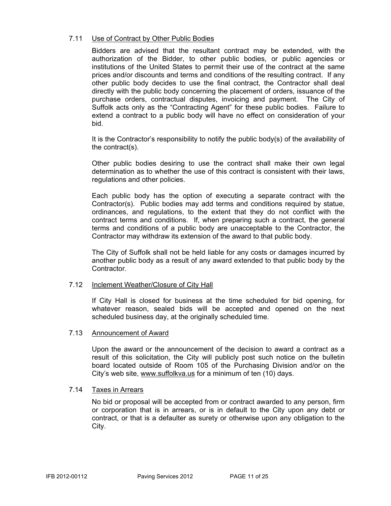#### 7.11 Use of Contract by Other Public Bodies

Bidders are advised that the resultant contract may be extended, with the authorization of the Bidder, to other public bodies, or public agencies or institutions of the United States to permit their use of the contract at the same prices and/or discounts and terms and conditions of the resulting contract. If any other public body decides to use the final contract, the Contractor shall deal directly with the public body concerning the placement of orders, issuance of the purchase orders, contractual disputes, invoicing and payment. The City of Suffolk acts only as the "Contracting Agent" for these public bodies. Failure to extend a contract to a public body will have no effect on consideration of your bid.

It is the Contractor's responsibility to notify the public body(s) of the availability of the contract(s).

Other public bodies desiring to use the contract shall make their own legal determination as to whether the use of this contract is consistent with their laws, regulations and other policies.

Each public body has the option of executing a separate contract with the Contractor(s). Public bodies may add terms and conditions required by statue, ordinances, and regulations, to the extent that they do not conflict with the contract terms and conditions. If, when preparing such a contract, the general terms and conditions of a public body are unacceptable to the Contractor, the Contractor may withdraw its extension of the award to that public body.

The City of Suffolk shall not be held liable for any costs or damages incurred by another public body as a result of any award extended to that public body by the **Contractor** 

#### 7.12 Inclement Weather/Closure of City Hall

If City Hall is closed for business at the time scheduled for bid opening, for whatever reason, sealed bids will be accepted and opened on the next scheduled business day, at the originally scheduled time.

#### 7.13 Announcement of Award

Upon the award or the announcement of the decision to award a contract as a result of this solicitation, the City will publicly post such notice on the bulletin board located outside of Room 105 of the Purchasing Division and/or on the City's web site, www.suffolkva.us for a minimum of ten (10) days.

#### 7.14 Taxes in Arrears

No bid or proposal will be accepted from or contract awarded to any person, firm or corporation that is in arrears, or is in default to the City upon any debt or contract, or that is a defaulter as surety or otherwise upon any obligation to the City.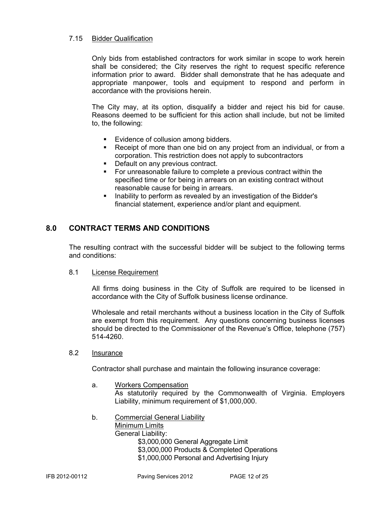#### 7.15 Bidder Qualification

Only bids from established contractors for work similar in scope to work herein shall be considered; the City reserves the right to request specific reference information prior to award. Bidder shall demonstrate that he has adequate and appropriate manpower, tools and equipment to respond and perform in accordance with the provisions herein.

The City may, at its option, disqualify a bidder and reject his bid for cause. Reasons deemed to be sufficient for this action shall include, but not be limited to, the following:

- **Evidence of collusion among bidders.**
- Receipt of more than one bid on any project from an individual, or from a corporation. This restriction does not apply to subcontractors
- Default on any previous contract.
- For unreasonable failure to complete a previous contract within the specified time or for being in arrears on an existing contract without reasonable cause for being in arrears.
- Inability to perform as revealed by an investigation of the Bidder's financial statement, experience and/or plant and equipment.

#### **8.0 CONTRACT TERMS AND CONDITIONS**

The resulting contract with the successful bidder will be subject to the following terms and conditions:

#### 8.1 License Requirement

All firms doing business in the City of Suffolk are required to be licensed in accordance with the City of Suffolk business license ordinance.

Wholesale and retail merchants without a business location in the City of Suffolk are exempt from this requirement. Any questions concerning business licenses should be directed to the Commissioner of the Revenue's Office, telephone (757) 514-4260.

#### 8.2 Insurance

Contractor shall purchase and maintain the following insurance coverage:

a. Workers Compensation

As statutorily required by the Commonwealth of Virginia. Employers Liability, minimum requirement of \$1,000,000.

b. Commercial General Liability

Minimum Limits General Liability: \$3,000,000 General Aggregate Limit \$3,000,000 Products & Completed Operations \$1,000,000 Personal and Advertising Injury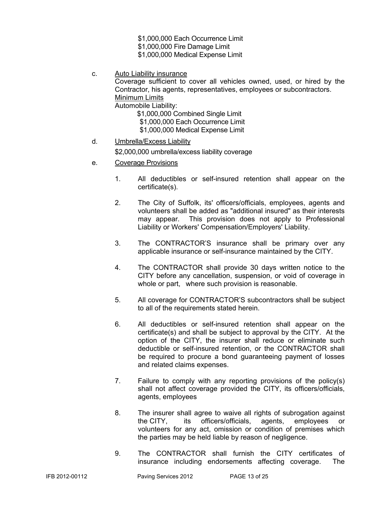- \$1,000,000 Each Occurrence Limit
- \$1,000,000 Fire Damage Limit
- \$1,000,000 Medical Expense Limit
- c. Auto Liability insurance

Coverage sufficient to cover all vehicles owned, used, or hired by the Contractor, his agents, representatives, employees or subcontractors. Minimum Limits

Automobile Liability:

- \$1,000,000 Combined Single Limit
- \$1,000,000 Each Occurrence Limit
- \$1,000,000 Medical Expense Limit
- d. Umbrella/Excess Liability

\$2,000,000 umbrella/excess liability coverage

- e. Coverage Provisions
	- 1. All deductibles or self-insured retention shall appear on the certificate(s).
	- 2. The City of Suffolk, its' officers/officials, employees, agents and volunteers shall be added as "additional insured" as their interests may appear. This provision does not apply to Professional Liability or Workers' Compensation/Employers' Liability.
	- 3. The CONTRACTOR'S insurance shall be primary over any applicable insurance or self-insurance maintained by the CITY.
	- 4. The CONTRACTOR shall provide 30 days written notice to the CITY before any cancellation, suspension, or void of coverage in whole or part, where such provision is reasonable.
	- 5. All coverage for CONTRACTOR'S subcontractors shall be subject to all of the requirements stated herein.
	- 6. All deductibles or self-insured retention shall appear on the certificate(s) and shall be subject to approval by the CITY. At the option of the CITY, the insurer shall reduce or eliminate such deductible or self-insured retention, or the CONTRACTOR shall be required to procure a bond guaranteeing payment of losses and related claims expenses.
	- 7. Failure to comply with any reporting provisions of the policy(s) shall not affect coverage provided the CITY, its officers/officials, agents, employees
	- 8. The insurer shall agree to waive all rights of subrogation against the CITY, its officers/officials, agents, employees or volunteers for any act, omission or condition of premises which the parties may be held liable by reason of negligence.
	- 9. The CONTRACTOR shall furnish the CITY certificates of insurance including endorsements affecting coverage. The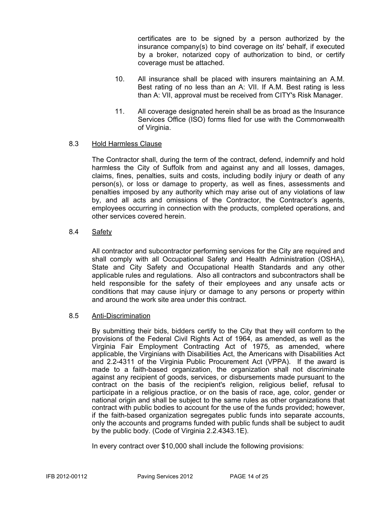certificates are to be signed by a person authorized by the insurance company(s) to bind coverage on its' behalf, if executed by a broker, notarized copy of authorization to bind, or certify coverage must be attached.

- 10. All insurance shall be placed with insurers maintaining an A.M. Best rating of no less than an A: VII. If A.M. Best rating is less than A: VII, approval must be received from CITY's Risk Manager.
- 11. All coverage designated herein shall be as broad as the Insurance Services Office (ISO) forms filed for use with the Commonwealth of Virginia.

#### 8.3 Hold Harmless Clause

The Contractor shall, during the term of the contract, defend, indemnify and hold harmless the City of Suffolk from and against any and all losses, damages, claims, fines, penalties, suits and costs, including bodily injury or death of any person(s), or loss or damage to property, as well as fines, assessments and penalties imposed by any authority which may arise out of any violations of law by, and all acts and omissions of the Contractor, the Contractor's agents, employees occurring in connection with the products, completed operations, and other services covered herein.

#### 8.4 Safety

All contractor and subcontractor performing services for the City are required and shall comply with all Occupational Safety and Health Administration (OSHA), State and City Safety and Occupational Health Standards and any other applicable rules and regulations. Also all contractors and subcontractors shall be held responsible for the safety of their employees and any unsafe acts or conditions that may cause injury or damage to any persons or property within and around the work site area under this contract.

#### 8.5 Anti-Discrimination

By submitting their bids, bidders certify to the City that they will conform to the provisions of the Federal Civil Rights Act of 1964, as amended, as well as the Virginia Fair Employment Contracting Act of 1975, as amended, where applicable, the Virginians with Disabilities Act, the Americans with Disabilities Act and 2.2-4311 of the Virginia Public Procurement Act (VPPA). If the award is made to a faith-based organization, the organization shall not discriminate against any recipient of goods, services, or disbursements made pursuant to the contract on the basis of the recipient's religion, religious belief, refusal to participate in a religious practice, or on the basis of race, age, color, gender or national origin and shall be subject to the same rules as other organizations that contract with public bodies to account for the use of the funds provided; however, if the faith-based organization segregates public funds into separate accounts, only the accounts and programs funded with public funds shall be subject to audit by the public body. (Code of Virginia 2.2.4343.1E).

In every contract over \$10,000 shall include the following provisions: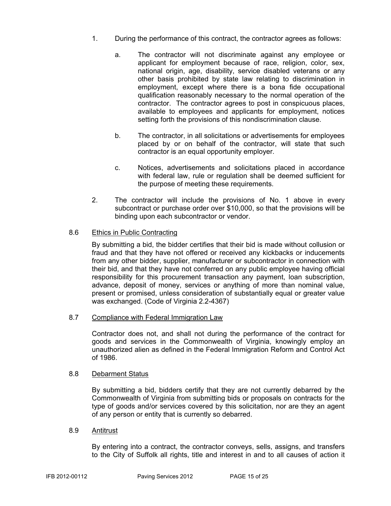- 1. During the performance of this contract, the contractor agrees as follows:
	- a. The contractor will not discriminate against any employee or applicant for employment because of race, religion, color, sex, national origin, age, disability, service disabled veterans or any other basis prohibited by state law relating to discrimination in employment, except where there is a bona fide occupational qualification reasonably necessary to the normal operation of the contractor. The contractor agrees to post in conspicuous places, available to employees and applicants for employment, notices setting forth the provisions of this nondiscrimination clause.
	- b. The contractor, in all solicitations or advertisements for employees placed by or on behalf of the contractor, will state that such contractor is an equal opportunity employer.
	- c. Notices, advertisements and solicitations placed in accordance with federal law, rule or regulation shall be deemed sufficient for the purpose of meeting these requirements.
- 2. The contractor will include the provisions of No. 1 above in every subcontract or purchase order over \$10,000, so that the provisions will be binding upon each subcontractor or vendor.

#### 8.6 Ethics in Public Contracting

By submitting a bid, the bidder certifies that their bid is made without collusion or fraud and that they have not offered or received any kickbacks or inducements from any other bidder, supplier, manufacturer or subcontractor in connection with their bid, and that they have not conferred on any public employee having official responsibility for this procurement transaction any payment, loan subscription, advance, deposit of money, services or anything of more than nominal value, present or promised, unless consideration of substantially equal or greater value was exchanged. (Code of Virginia 2.2-4367)

8.7 Compliance with Federal Immigration Law

Contractor does not, and shall not during the performance of the contract for goods and services in the Commonwealth of Virginia, knowingly employ an unauthorized alien as defined in the Federal Immigration Reform and Control Act of 1986.

#### 8.8 Debarment Status

By submitting a bid, bidders certify that they are not currently debarred by the Commonwealth of Virginia from submitting bids or proposals on contracts for the type of goods and/or services covered by this solicitation, nor are they an agent of any person or entity that is currently so debarred.

#### 8.9 Antitrust

By entering into a contract, the contractor conveys, sells, assigns, and transfers to the City of Suffolk all rights, title and interest in and to all causes of action it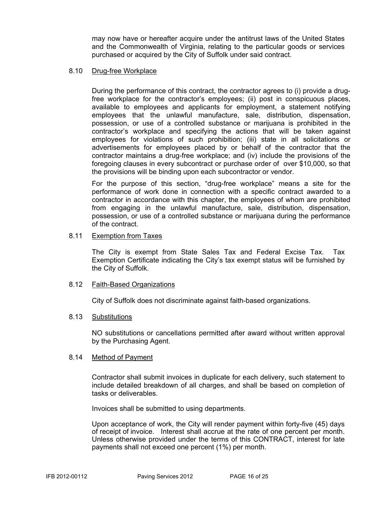may now have or hereafter acquire under the antitrust laws of the United States and the Commonwealth of Virginia, relating to the particular goods or services purchased or acquired by the City of Suffolk under said contract.

#### 8.10 Drug-free Workplace

During the performance of this contract, the contractor agrees to (i) provide a drugfree workplace for the contractor's employees; (ii) post in conspicuous places, available to employees and applicants for employment, a statement notifying employees that the unlawful manufacture, sale, distribution, dispensation, possession, or use of a controlled substance or marijuana is prohibited in the contractor's workplace and specifying the actions that will be taken against employees for violations of such prohibition; (iii) state in all solicitations or advertisements for employees placed by or behalf of the contractor that the contractor maintains a drug-free workplace; and (iv) include the provisions of the foregoing clauses in every subcontract or purchase order of over \$10,000, so that the provisions will be binding upon each subcontractor or vendor.

For the purpose of this section, "drug-free workplace" means a site for the performance of work done in connection with a specific contract awarded to a contractor in accordance with this chapter, the employees of whom are prohibited from engaging in the unlawful manufacture, sale, distribution, dispensation, possession, or use of a controlled substance or marijuana during the performance of the contract.

#### 8.11 Exemption from Taxes

The City is exempt from State Sales Tax and Federal Excise Tax. Tax Exemption Certificate indicating the City's tax exempt status will be furnished by the City of Suffolk.

#### 8.12 Faith-Based Organizations

City of Suffolk does not discriminate against faith-based organizations.

#### 8.13 Substitutions

NO substitutions or cancellations permitted after award without written approval by the Purchasing Agent.

#### 8.14 Method of Payment

Contractor shall submit invoices in duplicate for each delivery, such statement to include detailed breakdown of all charges, and shall be based on completion of tasks or deliverables.

Invoices shall be submitted to using departments.

Upon acceptance of work, the City will render payment within forty-five (45) days of receipt of invoice. Interest shall accrue at the rate of one percent per month. Unless otherwise provided under the terms of this CONTRACT, interest for late payments shall not exceed one percent (1%) per month.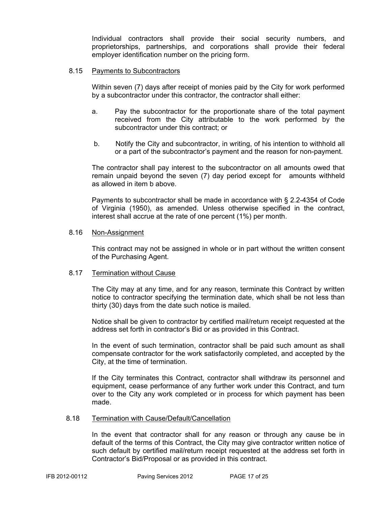Individual contractors shall provide their social security numbers, and proprietorships, partnerships, and corporations shall provide their federal employer identification number on the pricing form.

#### 8.15 Payments to Subcontractors

Within seven (7) days after receipt of monies paid by the City for work performed by a subcontractor under this contractor, the contractor shall either:

- a. Pay the subcontractor for the proportionate share of the total payment received from the City attributable to the work performed by the subcontractor under this contract; or
- b. Notify the City and subcontractor, in writing, of his intention to withhold all or a part of the subcontractor's payment and the reason for non-payment.

The contractor shall pay interest to the subcontractor on all amounts owed that remain unpaid beyond the seven (7) day period except for amounts withheld as allowed in item b above.

Payments to subcontractor shall be made in accordance with § 2.2-4354 of Code of Virginia (1950), as amended. Unless otherwise specified in the contract, interest shall accrue at the rate of one percent (1%) per month.

#### 8.16 Non-Assignment

This contract may not be assigned in whole or in part without the written consent of the Purchasing Agent.

#### 8.17 Termination without Cause

The City may at any time, and for any reason, terminate this Contract by written notice to contractor specifying the termination date, which shall be not less than thirty (30) days from the date such notice is mailed.

Notice shall be given to contractor by certified mail/return receipt requested at the address set forth in contractor's Bid or as provided in this Contract.

In the event of such termination, contractor shall be paid such amount as shall compensate contractor for the work satisfactorily completed, and accepted by the City, at the time of termination.

If the City terminates this Contract, contractor shall withdraw its personnel and equipment, cease performance of any further work under this Contract, and turn over to the City any work completed or in process for which payment has been made.

#### 8.18 Termination with Cause/Default/Cancellation

In the event that contractor shall for any reason or through any cause be in default of the terms of this Contract, the City may give contractor written notice of such default by certified mail/return receipt requested at the address set forth in Contractor's Bid/Proposal or as provided in this contract.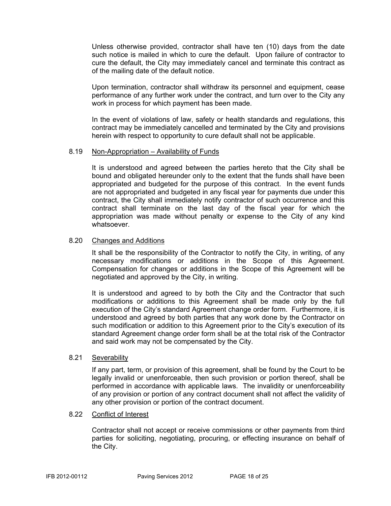Unless otherwise provided, contractor shall have ten (10) days from the date such notice is mailed in which to cure the default. Upon failure of contractor to cure the default, the City may immediately cancel and terminate this contract as of the mailing date of the default notice.

Upon termination, contractor shall withdraw its personnel and equipment, cease performance of any further work under the contract, and turn over to the City any work in process for which payment has been made.

In the event of violations of law, safety or health standards and regulations, this contract may be immediately cancelled and terminated by the City and provisions herein with respect to opportunity to cure default shall not be applicable.

#### 8.19 Non-Appropriation – Availability of Funds

It is understood and agreed between the parties hereto that the City shall be bound and obligated hereunder only to the extent that the funds shall have been appropriated and budgeted for the purpose of this contract. In the event funds are not appropriated and budgeted in any fiscal year for payments due under this contract, the City shall immediately notify contractor of such occurrence and this contract shall terminate on the last day of the fiscal year for which the appropriation was made without penalty or expense to the City of any kind whatsoever.

#### 8.20 Changes and Additions

It shall be the responsibility of the Contractor to notify the City, in writing, of any necessary modifications or additions in the Scope of this Agreement. Compensation for changes or additions in the Scope of this Agreement will be negotiated and approved by the City, in writing.

It is understood and agreed to by both the City and the Contractor that such modifications or additions to this Agreement shall be made only by the full execution of the City's standard Agreement change order form. Furthermore, it is understood and agreed by both parties that any work done by the Contractor on such modification or addition to this Agreement prior to the City's execution of its standard Agreement change order form shall be at the total risk of the Contractor and said work may not be compensated by the City.

#### 8.21 Severability

If any part, term, or provision of this agreement, shall be found by the Court to be legally invalid or unenforceable, then such provision or portion thereof, shall be performed in accordance with applicable laws. The invalidity or unenforceability of any provision or portion of any contract document shall not affect the validity of any other provision or portion of the contract document.

#### 8.22 Conflict of Interest

Contractor shall not accept or receive commissions or other payments from third parties for soliciting, negotiating, procuring, or effecting insurance on behalf of the City.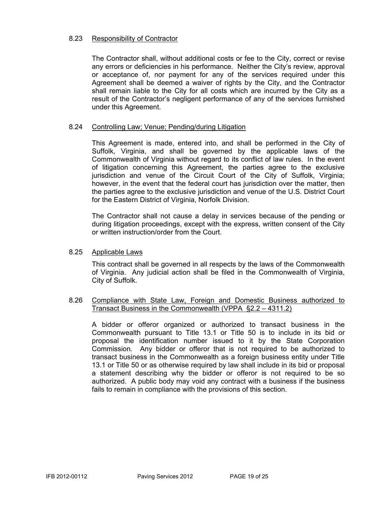#### 8.23 Responsibility of Contractor

The Contractor shall, without additional costs or fee to the City, correct or revise any errors or deficiencies in his performance. Neither the City's review, approval or acceptance of, nor payment for any of the services required under this Agreement shall be deemed a waiver of rights by the City, and the Contractor shall remain liable to the City for all costs which are incurred by the City as a result of the Contractor's negligent performance of any of the services furnished under this Agreement.

#### 8.24 Controlling Law; Venue; Pending/during Litigation

This Agreement is made, entered into, and shall be performed in the City of Suffolk, Virginia, and shall be governed by the applicable laws of the Commonwealth of Virginia without regard to its conflict of law rules. In the event of litigation concerning this Agreement, the parties agree to the exclusive jurisdiction and venue of the Circuit Court of the City of Suffolk, Virginia; however, in the event that the federal court has jurisdiction over the matter, then the parties agree to the exclusive jurisdiction and venue of the U.S. District Court for the Eastern District of Virginia, Norfolk Division.

The Contractor shall not cause a delay in services because of the pending or during litigation proceedings, except with the express, written consent of the City or written instruction/order from the Court.

#### 8.25 Applicable Laws

This contract shall be governed in all respects by the laws of the Commonwealth of Virginia. Any judicial action shall be filed in the Commonwealth of Virginia, City of Suffolk.

#### 8.26 Compliance with State Law, Foreign and Domestic Business authorized to Transact Business in the Commonwealth (VPPA §2.2 – 4311.2)

 A bidder or offeror organized or authorized to transact business in the Commonwealth pursuant to Title 13.1 or Title 50 is to include in its bid or proposal the identification number issued to it by the State Corporation Commission. Any bidder or offeror that is not required to be authorized to transact business in the Commonwealth as a foreign business entity under Title 13.1 or Title 50 or as otherwise required by law shall include in its bid or proposal a statement describing why the bidder or offeror is not required to be so authorized. A public body may void any contract with a business if the business fails to remain in compliance with the provisions of this section.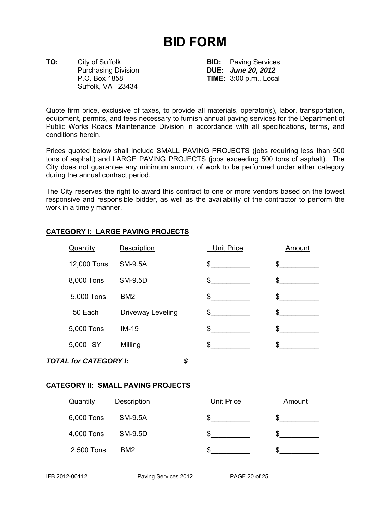# **BID FORM**

**TO:** City of Suffolk **BID:** Paving Services Suffolk, VA 23434

Purchasing Division **DUE:** *June 20, 2012* P.O. Box 1858 **TIME:** 3:00 p.m., Local

Quote firm price, exclusive of taxes, to provide all materials, operator(s), labor, transportation, equipment, permits, and fees necessary to furnish annual paving services for the Department of Public Works Roads Maintenance Division in accordance with all specifications, terms, and conditions herein.

Prices quoted below shall include SMALL PAVING PROJECTS (jobs requiring less than 500 tons of asphalt) and LARGE PAVING PROJECTS (jobs exceeding 500 tons of asphalt). The City does not guarantee any minimum amount of work to be performed under either category during the annual contract period.

The City reserves the right to award this contract to one or more vendors based on the lowest responsive and responsible bidder, as well as the availability of the contractor to perform the work in a timely manner.

| Quantity                           | Description       | <b>Unit Price</b> | Amount |
|------------------------------------|-------------------|-------------------|--------|
| 12,000 Tons                        | <b>SM-9.5A</b>    | \$                | \$     |
| 8,000 Tons                         | <b>SM-9.5D</b>    | \$                | \$     |
| 5,000 Tons                         | BM <sub>2</sub>   | \$                | \$     |
| 50 Each                            | Driveway Leveling | \$                | \$     |
| 5,000 Tons                         | $IM-19$           | \$                | \$     |
| 5,000 SY                           | Milling           | \$                | \$     |
| <b>TOTAL for CATEGORY I:</b><br>\$ |                   |                   |        |

#### **CATEGORY I: LARGE PAVING PROJECTS**

#### **CATEGORY II: SMALL PAVING PROJECTS**

| Quantity   | Description     | <b>Unit Price</b> | Amount |
|------------|-----------------|-------------------|--------|
| 6,000 Tons | SM-9.5A         |                   |        |
| 4,000 Tons | SM-9.5D         |                   |        |
| 2,500 Tons | BM <sub>2</sub> |                   |        |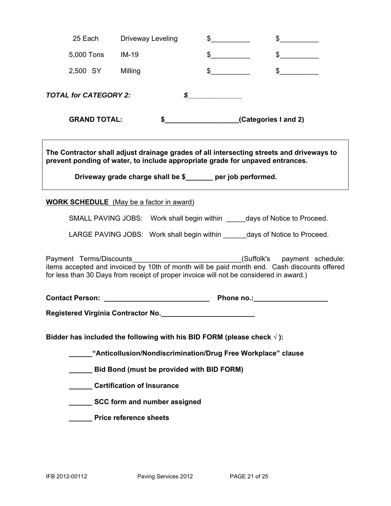| 25 Each                                                                                                                                                                                                                                          | Driveway Leveling             | $\mathfrak{S}$       | $\sim$                                                                |  |
|--------------------------------------------------------------------------------------------------------------------------------------------------------------------------------------------------------------------------------------------------|-------------------------------|----------------------|-----------------------------------------------------------------------|--|
| 5,000 Tons                                                                                                                                                                                                                                       | $IM-19$                       | $\mathbb{S}^-$       |                                                                       |  |
| 2,500 SY                                                                                                                                                                                                                                         | Milling                       | $\sim$               |                                                                       |  |
| <b>TOTAL for CATEGORY 2:</b>                                                                                                                                                                                                                     |                               | \$                   |                                                                       |  |
| <b>GRAND TOTAL:</b>                                                                                                                                                                                                                              | \$                            | (Categories I and 2) |                                                                       |  |
| The Contractor shall adjust drainage grades of all intersecting streets and driveways to<br>prevent ponding of water, to include appropriate grade for unpaved entrances.<br>Driveway grade charge shall be \$______ per job performed.          |                               |                      |                                                                       |  |
| <b>WORK SCHEDULE</b> (May be a factor in award)                                                                                                                                                                                                  |                               |                      |                                                                       |  |
|                                                                                                                                                                                                                                                  |                               |                      | SMALL PAVING JOBS: Work shall begin within days of Notice to Proceed. |  |
| LARGE PAVING JOBS: Work shall begin within days of Notice to Proceed.                                                                                                                                                                            |                               |                      |                                                                       |  |
| Payment Terms/Discounts<br>(Suffolk's payment schedule:<br>items accepted and invoiced by 10th of month will be paid month end. Cash discounts offered<br>for less than 30 Days from receipt of proper invoice will not be considered in award.) |                               |                      |                                                                       |  |
| Phone no.: <b>Example 20</b>                                                                                                                                                                                                                     |                               |                      |                                                                       |  |
| Registered Virginia Contractor No.                                                                                                                                                                                                               |                               |                      |                                                                       |  |
| Bidder has included the following with his BID FORM (please check $\sqrt{ }$ ):                                                                                                                                                                  |                               |                      |                                                                       |  |
| "Anticollusion/Nondiscrimination/Drug Free Workplace" clause                                                                                                                                                                                     |                               |                      |                                                                       |  |
| Bid Bond (must be provided with BID FORM)                                                                                                                                                                                                        |                               |                      |                                                                       |  |
| Certification of Insurance                                                                                                                                                                                                                       |                               |                      |                                                                       |  |
| SCC form and number assigned                                                                                                                                                                                                                     |                               |                      |                                                                       |  |
|                                                                                                                                                                                                                                                  | <b>Price reference sheets</b> |                      |                                                                       |  |
|                                                                                                                                                                                                                                                  |                               |                      |                                                                       |  |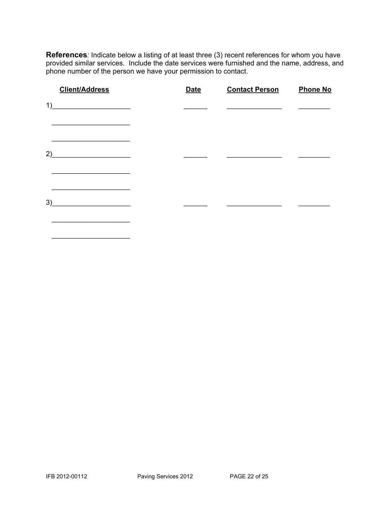**References***:* Indicate below a listing of at least three (3) recent references for whom you have provided similar services. Include the date services were furnished and the name, address, and phone number of the person we have your permission to contact.

| <b>Client/Address</b>                                    | <b>Date</b> | <b>Contact Person</b> | <b>Phone No</b> |
|----------------------------------------------------------|-------------|-----------------------|-----------------|
| 1)<br><u> 1990 - Johann Barbara, martxa alemani</u> ar a |             |                       |                 |
|                                                          |             |                       |                 |
| 2)<br><u> 1989 - Johann Harry Barn, mars eta ba</u>      |             |                       |                 |
|                                                          |             |                       |                 |
| 3)<br><u> 1990 - Johann Barbara, martxa alemani</u> ar a |             |                       |                 |
|                                                          |             |                       |                 |

 $\overline{\phantom{a}}$  ,  $\overline{\phantom{a}}$  ,  $\overline{\phantom{a}}$  ,  $\overline{\phantom{a}}$  ,  $\overline{\phantom{a}}$  ,  $\overline{\phantom{a}}$  ,  $\overline{\phantom{a}}$  ,  $\overline{\phantom{a}}$  ,  $\overline{\phantom{a}}$  ,  $\overline{\phantom{a}}$  ,  $\overline{\phantom{a}}$  ,  $\overline{\phantom{a}}$  ,  $\overline{\phantom{a}}$  ,  $\overline{\phantom{a}}$  ,  $\overline{\phantom{a}}$  ,  $\overline{\phantom{a}}$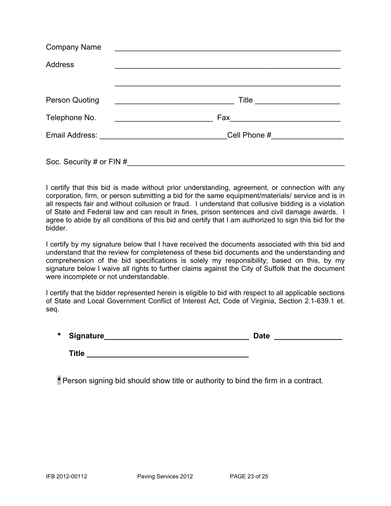| <b>Company Name</b>      | <u> 1980 - Johann Johann Stone, meil in der Stone aus der Stone aus der Stone aus der Stone aus der Stone aus der </u> |  |  |
|--------------------------|------------------------------------------------------------------------------------------------------------------------|--|--|
| <b>Address</b>           |                                                                                                                        |  |  |
|                          |                                                                                                                        |  |  |
| <b>Person Quoting</b>    | <u> 1989 - Johann Barbara, martin amerikan basal dan berasal dan berasal dalam basal dalam basal dalam basal dala</u>  |  |  |
| Telephone No.            |                                                                                                                        |  |  |
|                          | Cell Phone #__________________                                                                                         |  |  |
| Soc. Security # or FIN # |                                                                                                                        |  |  |

I certify that this bid is made without prior understanding, agreement, or connection with any corporation, firm, or person submitting a bid for the same equipment/materials/ service and is in all respects fair and without collusion or fraud. I understand that collusive bidding is a violation of State and Federal law and can result in fines, prison sentences and civil damage awards. I agree to abide by all conditions of this bid and certify that I am authorized to sign this bid for the bidder.

I certify by my signature below that I have received the documents associated with this bid and understand that the review for completeness of these bid documents and the understanding and comprehension of the bid specifications is solely my responsibility; based on this, by my signature below I waive all rights to further claims against the City of Suffolk that the document were incomplete or not understandable.

I certify that the bidder represented herein is eligible to bid with respect to all applicable sections of State and Local Government Conflict of Interest Act, Code of Virginia, Section 2.1-639.1 et. seq.

| $\ast$ | Signature    | <b>Date</b> |  |
|--------|--------------|-------------|--|
|        |              |             |  |
|        | <b>Title</b> |             |  |

\* Person signing bid should show title or authority to bind the firm in a contract.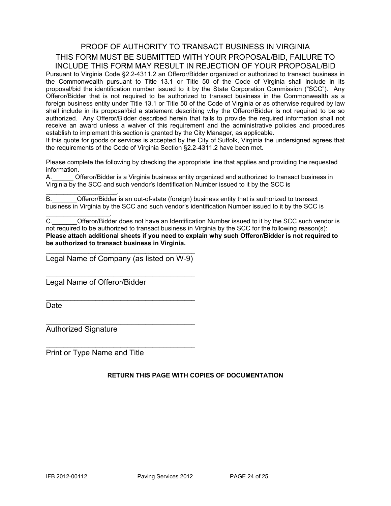### PROOF OF AUTHORITY TO TRANSACT BUSINESS IN VIRGINIA THIS FORM MUST BE SUBMITTED WITH YOUR PROPOSAL/BID, FAILURE TO INCLUDE THIS FORM MAY RESULT IN REJECTION OF YOUR PROPOSAL/BID

Pursuant to Virginia Code §2.2-4311.2 an Offeror/Bidder organized or authorized to transact business in the Commonwealth pursuant to Title 13.1 or Title 50 of the Code of Virginia shall include in its proposal/bid the identification number issued to it by the State Corporation Commission ("SCC"). Any Offeror/Bidder that is not required to be authorized to transact business in the Commonwealth as a foreign business entity under Title 13.1 or Title 50 of the Code of Virginia or as otherwise required by law shall include in its proposal/bid a statement describing why the Offeror/Bidder is not required to be so authorized. Any Offeror/Bidder described herein that fails to provide the required information shall not receive an award unless a waiver of this requirement and the administrative policies and procedures establish to implement this section is granted by the City Manager, as applicable.

If this quote for goods or services is accepted by the City of Suffolk, Virginia the undersigned agrees that the requirements of the Code of Virginia Section §2.2-4311.2 have been met.

Please complete the following by checking the appropriate line that applies and providing the requested information.

A.\_\_\_\_\_\_ Offeror/Bidder is a Virginia business entity organized and authorized to transact business in Virginia by the SCC and such vendor's Identification Number issued to it by the SCC is

 $\mathcal{L}_\text{max}$  and  $\mathcal{L}_\text{max}$  and  $\mathcal{L}_\text{max}$ B.\_\_\_\_\_\_\_Offeror/Bidder is an out-of-state (foreign) business entity that is authorized to transact business in Virginia by the SCC and such vendor's identification Number issued to it by the SCC is

C. C. C. Cofferor/Bidder does not have an Identification Number issued to it by the SCC such vendor is not required to be authorized to transact business in Virginia by the SCC for the following reason(s): **Please attach additional sheets if you need to explain why such Offeror/Bidder is not required to be authorized to transact business in Virginia.** 

\_\_\_\_\_\_\_\_\_\_\_\_\_\_\_\_\_\_\_\_\_\_\_\_\_\_\_\_\_\_\_\_\_\_\_\_\_\_\_\_\_\_ Legal Name of Company (as listed on W-9)

\_\_\_\_\_\_\_\_\_\_\_\_\_\_\_\_\_\_\_\_\_\_\_\_\_\_\_\_\_\_\_\_\_\_\_\_\_\_\_\_\_\_

\_\_\_\_\_\_\_\_\_\_\_\_\_\_\_\_\_\_\_\_\_\_\_\_\_\_\_\_\_\_\_\_\_\_\_\_\_\_\_\_\_\_

\_\_\_\_\_\_\_\_\_\_\_\_\_\_\_\_\_\_\_\_\_\_\_\_\_\_\_\_\_\_\_\_\_\_\_\_\_\_\_\_\_\_

 $\mathcal{L}_\text{max}$  , and the set of the set of the set of the set of the set of the set of the set of the set of the set of the set of the set of the set of the set of the set of the set of the set of the set of the set of the

Legal Name of Offeror/Bidder

**Date** 

Authorized Signature

 $\mathcal{L}_\text{max}$  and  $\mathcal{L}_\text{max}$  and  $\mathcal{L}_\text{max}$ 

Print or Type Name and Title

#### **RETURN THIS PAGE WITH COPIES OF DOCUMENTATION**